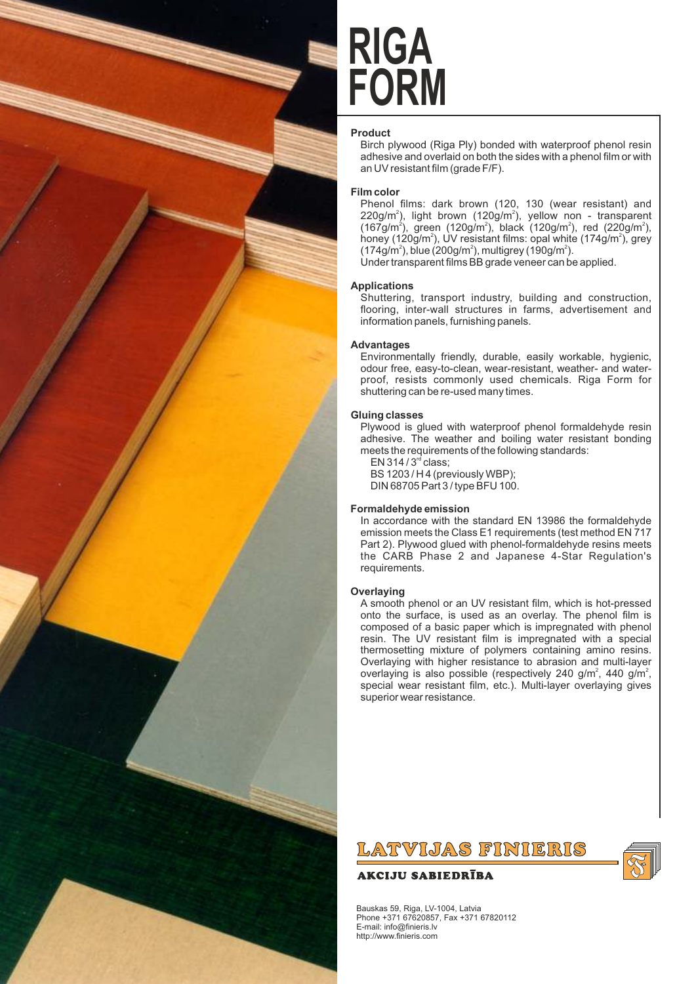

# **FORM RIGA**

### **Product**

Birch plywood (Riga Ply) bonded with waterproof phenol resin adhesive and overlaid on both the sides with a phenol film or with an UV resistant film (grade F/F).

### **Film color**

Phenol films: dark brown (120, 130 (wear resistant) and  $220$ g/m<sup>2</sup>), light brown (120g/m<sup>2</sup>), yellow non - transparent (167g/m<sup>2</sup>), green (120g/m<sup>2</sup>), black (120g/m<sup>2</sup>), red (220g/m<sup>2</sup>), honey (120g/m<sup>2</sup>), UV resistant films: opal white (174g/m<sup>2</sup>), grey  $(174$ g/m<sup>2</sup>), blue (200g/m<sup>2</sup>), multigrey (190g/m<sup>2</sup>).

Under transparent films BB grade veneer can be applied.

### **Applications**

Shuttering, transport industry, building and construction, flooring, inter-wall structures in farms, advertisement and information panels, furnishing panels.

### **Advantages**

Environmentally friendly, durable, easily workable, hygienic, odour free, easy-to-clean, wear-resistant, weather- and waterproof, resists commonly used chemicals. Riga Form for shuttering can be re-used many times.

### **Gluing classes**

Plywood is glued with waterproof phenol formaldehyde resin adhesive. The weather and boiling water resistant bonding meets the requirements of the following standards:

 $EN$  314 /  $3<sup>rd</sup>$  class; BS 1203 / H 4 (previously WBP); DIN 68705 Part 3 / type BFU 100.

### **Formaldehyde emission**

In accordance with the standard EN 13986 the formaldehyde emission meets the Class E1 requirements (test method EN 717 Part 2). Plywood glued with phenol-formaldehyde resins meets the CARB Phase 2 and Japanese 4-Star Regulation's requirements.

### **Overlaying**

A smooth phenol or an UV resistant film, which is hot-pressed onto the surface, is used as an overlay. The phenol film is composed of a basic paper which is impregnated with phenol resin. The UV resistant film is impregnated with a special thermosetting mixture of polymers containing amino resins. Overlaying with higher resistance to abrasion and multi-layer overlaying is also possible (respectively 240 g/m<sup>2</sup>, 440 g/m<sup>2</sup>, special wear resistant film, etc.). Multi-layer overlaying gives superior wear resistance.

## LATVIJAS FINIERIS

### **AKCIJU SABIEDRĪBA**



Bauskas 59, Riga, LV-1004, Latvia Phone +371 67620857, Fax +371 67820112 E-mail: info@finieris.lv http://www.finieris.com